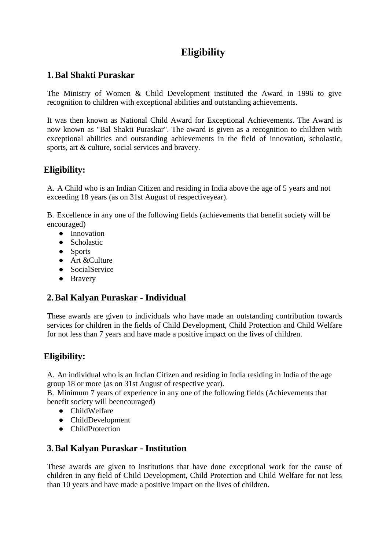# **Eligibility**

#### **1.Bal Shakti Puraskar**

The Ministry of Women & Child Development instituted the Award in 1996 to give recognition to children with exceptional abilities and outstanding achievements.

It was then known as National Child Award for Exceptional Achievements. The Award is now known as "Bal Shakti Puraskar". The award is given as a recognition to children with exceptional abilities and outstanding achievements in the field of innovation, scholastic, sports, art & culture, social services and bravery.

#### **Eligibility:**

A. A Child who is an Indian Citizen and residing in India above the age of 5 years and not exceeding 18 years (as on 31st August of respectiveyear).

B. Excellence in any one of the following fields (achievements that benefit society will be encouraged)

- Innovation
- Scholastic
- Sports
- Art &Culture
- SocialService
- Bravery

## **2.Bal Kalyan Puraskar - Individual**

These awards are given to individuals who have made an outstanding contribution towards services for children in the fields of Child Development, Child Protection and Child Welfare for not less than 7 years and have made a positive impact on the lives of children.

## **Eligibility:**

A. An individual who is an Indian Citizen and residing in India residing in India of the age group 18 or more (as on 31st August of respective year).

B. Minimum 7 years of experience in any one of the following fields (Achievements that benefit society will beencouraged)

- ChildWelfare
- ChildDevelopment
- ChildProtection

#### **3.Bal Kalyan Puraskar - Institution**

These awards are given to institutions that have done exceptional work for the cause of children in any field of Child Development, Child Protection and Child Welfare for not less than 10 years and have made a positive impact on the lives of children.